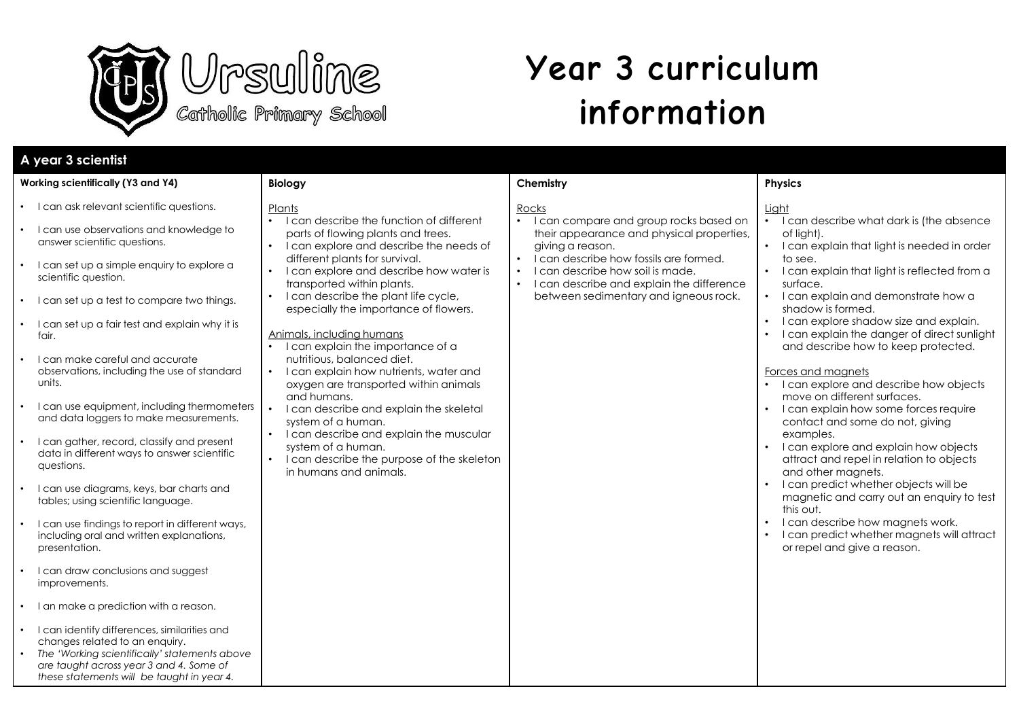

# **Year 3 curriculum information**

| A year 3 scientist                                                                                                                                                                                                                                                                                                                                                                                                                                                                                                                                                                                                                                                                                                                                                                                                                                                                                                                                                                                                                                                                                                                                                         |                                                                                                                                                                                                                                                                                                                                                                                                                                                                                                                                                                                                                                                                                                                                                                                                                  |                                                                                                                                                                                                                                                                                                   |                                                                                                                                                                                                                                                                                                                                                                                                                                                                                                                                                                                                                                                                                                                                                                                                                                                                                                                               |
|----------------------------------------------------------------------------------------------------------------------------------------------------------------------------------------------------------------------------------------------------------------------------------------------------------------------------------------------------------------------------------------------------------------------------------------------------------------------------------------------------------------------------------------------------------------------------------------------------------------------------------------------------------------------------------------------------------------------------------------------------------------------------------------------------------------------------------------------------------------------------------------------------------------------------------------------------------------------------------------------------------------------------------------------------------------------------------------------------------------------------------------------------------------------------|------------------------------------------------------------------------------------------------------------------------------------------------------------------------------------------------------------------------------------------------------------------------------------------------------------------------------------------------------------------------------------------------------------------------------------------------------------------------------------------------------------------------------------------------------------------------------------------------------------------------------------------------------------------------------------------------------------------------------------------------------------------------------------------------------------------|---------------------------------------------------------------------------------------------------------------------------------------------------------------------------------------------------------------------------------------------------------------------------------------------------|-------------------------------------------------------------------------------------------------------------------------------------------------------------------------------------------------------------------------------------------------------------------------------------------------------------------------------------------------------------------------------------------------------------------------------------------------------------------------------------------------------------------------------------------------------------------------------------------------------------------------------------------------------------------------------------------------------------------------------------------------------------------------------------------------------------------------------------------------------------------------------------------------------------------------------|
| Working scientifically (Y3 and Y4)                                                                                                                                                                                                                                                                                                                                                                                                                                                                                                                                                                                                                                                                                                                                                                                                                                                                                                                                                                                                                                                                                                                                         | <b>Biology</b>                                                                                                                                                                                                                                                                                                                                                                                                                                                                                                                                                                                                                                                                                                                                                                                                   | Chemistry                                                                                                                                                                                                                                                                                         | <b>Physics</b>                                                                                                                                                                                                                                                                                                                                                                                                                                                                                                                                                                                                                                                                                                                                                                                                                                                                                                                |
| • I can ask relevant scientific questions.<br>• I can use observations and knowledge to<br>answer scientific questions.<br>• I can set up a simple enquiry to explore a<br>scientific question.<br>• I can set up a test to compare two things.<br>• I can set up a fair test and explain why it is<br>fair.<br>I can make careful and accurate<br>observations, including the use of standard<br>units.<br>I can use equipment, including thermometers<br>and data loggers to make measurements.<br>• I can gather, record, classify and present<br>data in different ways to answer scientific<br>questions.<br>I can use diagrams, keys, bar charts and<br>tables; using scientific language.<br>I can use findings to report in different ways,<br>including oral and written explanations,<br>presentation.<br>I can draw conclusions and suggest<br>$\bullet$<br>improvements.<br>• I an make a prediction with a reason.<br>• I can identify differences, similarities and<br>changes related to an enquiry.<br>The 'Working scientifically' statements above<br>$\bullet$<br>are taught across year 3 and 4. Some of<br>these statements will be taught in year 4. | Plants<br>• I can describe the function of different<br>parts of flowing plants and trees.<br>I can explore and describe the needs of<br>$\bullet$<br>different plants for survival.<br>I can explore and describe how water is<br>transported within plants.<br>I can describe the plant life cycle,<br>$\bullet$<br>especially the importance of flowers.<br>Animals, including humans<br>• I can explain the importance of a<br>nutritious, balanced diet.<br>I can explain how nutrients, water and<br>$\bullet$<br>oxygen are transported within animals<br>and humans.<br>I can describe and explain the skeletal<br>$\bullet$<br>system of a human.<br>I can describe and explain the muscular<br>system of a human.<br>I can describe the purpose of the skeleton<br>$\bullet$<br>in humans and animals. | Rocks<br>I can compare and group rocks based on<br>$\bullet$<br>their appearance and physical properties,<br>giving a reason.<br>I can describe how fossils are formed.<br>I can describe how soil is made.<br>I can describe and explain the difference<br>between sedimentary and igneous rock. | Light<br>• I can describe what dark is (the absence<br>of light).<br>• I can explain that light is needed in order<br>to see.<br>I can explain that light is reflected from a<br>surface.<br>• I can explain and demonstrate how a<br>shadow is formed.<br>I can explore shadow size and explain.<br>$\bullet$<br>I can explain the danger of direct sunlight<br>and describe how to keep protected.<br>Forces and magnets<br>• I can explore and describe how objects<br>move on different surfaces.<br>I can explain how some forces require<br>contact and some do not, giving<br>examples.<br>I can explore and explain how objects<br>attract and repel in relation to objects<br>and other magnets.<br>I can predict whether objects will be<br>magnetic and carry out an enquiry to test<br>this out.<br>I can describe how magnets work.<br>I can predict whether magnets will attract<br>or repel and give a reason. |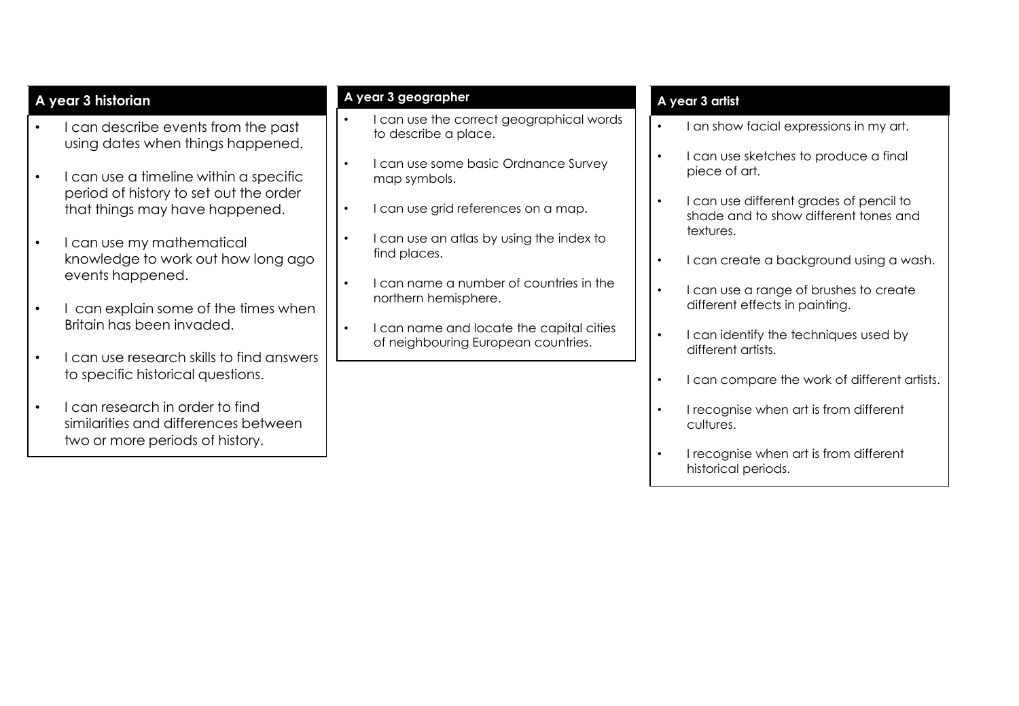|           | A year 3 historian                                                                                         | A year 3 geographer                                                          |           | A year 3 artist                                                                  |
|-----------|------------------------------------------------------------------------------------------------------------|------------------------------------------------------------------------------|-----------|----------------------------------------------------------------------------------|
|           | I can describe events from the past<br>using dates when things happened.                                   | I can use the correct geographical words<br>to describe a place.             |           | an show facial expressions in my art.                                            |
| $\bullet$ | I can use a timeline within a specific                                                                     | I can use some basic Ordnance Survey<br>$\bullet$<br>map symbols.            |           | I can use sketches to produce a final<br>piece of art.                           |
|           | period of history to set out the order<br>that things may have happened.                                   | I can use grid references on a map.<br>$\bullet$                             |           | I can use different grades of pencil to<br>shade and to show different tones and |
|           | I can use my mathematical<br>knowledge to work out how long ago                                            | I can use an atlas by using the index to<br>$\bullet$<br>find places.        | $\bullet$ | textures.<br>can create a background using a wash.                               |
|           | events happened.                                                                                           | I can name a number of countries in the<br>$\bullet$<br>northern hemisphere. |           | I can use a range of brushes to create                                           |
| $\bullet$ | I can explain some of the times when<br>Britain has been invaded.                                          | I can name and locate the capital cities<br>$\bullet$                        | $\bullet$ | different effects in painting.<br>I can identify the techniques used by          |
|           | I can use research skills to find answers<br>to specific historical questions.                             | of neighbouring European countries.                                          |           | different artists.                                                               |
|           |                                                                                                            |                                                                              |           | I can compare the work of different artists.                                     |
| $\bullet$ | I can research in order to find<br>similarities and differences between<br>two or more periods of history. |                                                                              |           | I recognise when art is from different<br>cultures.                              |
|           |                                                                                                            |                                                                              |           | I recognise when art is from different<br>historical periods.                    |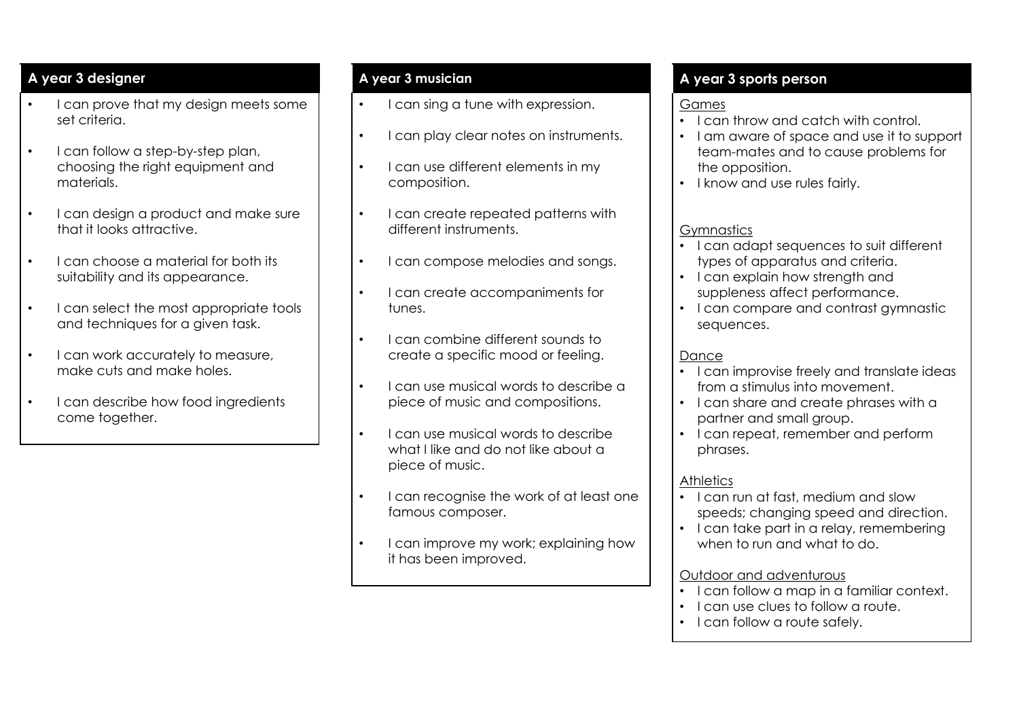### **A year 3 designer**

- I can prove that my design meets some set criteria.
- I can follow a step-by-step plan, choosing the right equipment and materials.
- I can design a product and make sure that it looks attractive.
- I can choose a material for both its suitability and its appearance.
- I can select the most appropriate tools and techniques for a given task.
- I can work accurately to measure, make cuts and make holes.
- I can describe how food ingredients come together.

#### **A year 3 musician**

- I can sing a tune with expression.
- I can play clear notes on instruments.
- I can use different elements in my composition.
- I can create repeated patterns with different instruments.
- I can compose melodies and songs.
- I can create accompaniments for tunes.
- I can combine different sounds to create a specific mood or feeling.
- I can use musical words to describe a piece of music and compositions.
- I can use musical words to describe what I like and do not like about a piece of music.
- I can recognise the work of at least one famous composer.
- I can improve my work; explaining how it has been improved.

# **A year 3 sports person**

#### Games

- I can throw and catch with control.
- I am aware of space and use it to support team-mates and to cause problems for the opposition.
- I know and use rules fairly.

## Gymnastics

- I can adapt sequences to suit different types of apparatus and criteria.
- I can explain how strength and suppleness affect performance.
- I can compare and contrast gymnastic sequences.

# Dance

- I can improvise freely and translate ideas from a stimulus into movement.
- I can share and create phrases with a partner and small group.
- I can repeat, remember and perform phrases.

### **Athletics**

- I can run at fast, medium and slow speeds; changing speed and direction.
- I can take part in a relay, remembering when to run and what to do.

#### Outdoor and adventurous

- I can follow a map in a familiar context.
- I can use clues to follow a route.
- I can follow a route safely.